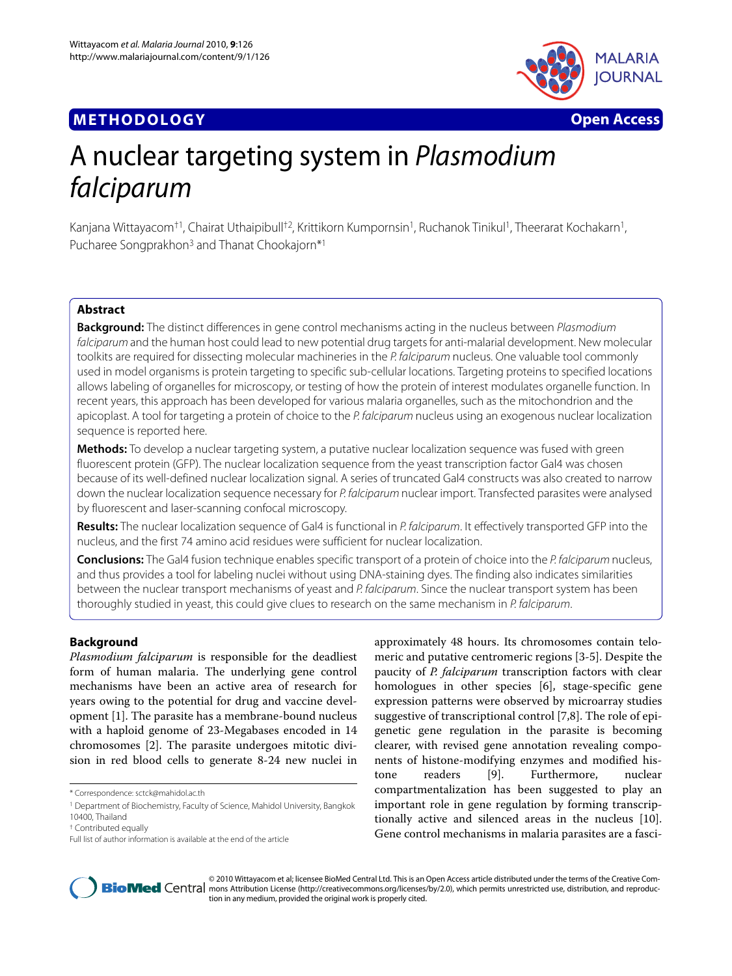# **METHODOLOGY Open Access**



# A nuclear targeting system in Plasmodium falciparum

Kanjana Wittayacom<sup>†1</sup>, Chairat Uthaipibull<sup>†2</sup>, Krittikorn Kumpornsin<sup>1</sup>, Ruchanok Tinikul<sup>1</sup>, Theerarat Kochakarn<sup>1</sup>, Pucharee Songprakhon<sup>3</sup> and Thanat Chookajorn<sup>\*1</sup>

# **Abstract**

**Background:** The distinct differences in gene control mechanisms acting in the nucleus between Plasmodium falciparum and the human host could lead to new potential drug targets for anti-malarial development. New molecular toolkits are required for dissecting molecular machineries in the P. falciparum nucleus. One valuable tool commonly used in model organisms is protein targeting to specific sub-cellular locations. Targeting proteins to specified locations allows labeling of organelles for microscopy, or testing of how the protein of interest modulates organelle function. In recent years, this approach has been developed for various malaria organelles, such as the mitochondrion and the apicoplast. A tool for targeting a protein of choice to the P. falciparum nucleus using an exogenous nuclear localization sequence is reported here.

**Methods:** To develop a nuclear targeting system, a putative nuclear localization sequence was fused with green fluorescent protein (GFP). The nuclear localization sequence from the yeast transcription factor Gal4 was chosen because of its well-defined nuclear localization signal. A series of truncated Gal4 constructs was also created to narrow down the nuclear localization sequence necessary for P. falciparum nuclear import. Transfected parasites were analysed by fluorescent and laser-scanning confocal microscopy.

**Results:** The nuclear localization sequence of Gal4 is functional in P. falciparum. It effectively transported GFP into the nucleus, and the first 74 amino acid residues were sufficient for nuclear localization.

**Conclusions:** The Gal4 fusion technique enables specific transport of a protein of choice into the P. falciparum nucleus, and thus provides a tool for labeling nuclei without using DNA-staining dyes. The finding also indicates similarities between the nuclear transport mechanisms of yeast and P. falciparum. Since the nuclear transport system has been thoroughly studied in yeast, this could give clues to research on the same mechanism in P. falciparum.

# **Background**

*Plasmodium falciparum* is responsible for the deadliest form of human malaria. The underlying gene control mechanisms have been an active area of research for years owing to the potential for drug and vaccine development [[1\]](#page-3-0). The parasite has a membrane-bound nucleus with a haploid genome of 23-Megabases encoded in 14 chromosomes [\[2](#page-3-1)]. The parasite undergoes mitotic division in red blood cells to generate 8-24 new nuclei in

approximately 48 hours. Its chromosomes contain telomeric and putative centromeric regions [[3-](#page-3-2)[5](#page-4-0)]. Despite the paucity of *P. falciparum* transcription factors with clear homologues in other species [[6\]](#page-4-1), stage-specific gene expression patterns were observed by microarray studies suggestive of transcriptional control [\[7](#page-4-2)[,8](#page-4-3)]. The role of epigenetic gene regulation in the parasite is becoming clearer, with revised gene annotation revealing components of histone-modifying enzymes and modified histone readers [[9\]](#page-4-4). Furthermore, nuclear compartmentalization has been suggested to play an important role in gene regulation by forming transcriptionally active and silenced areas in the nucleus [\[10](#page-4-5)]. Gene control mechanisms in malaria parasites are a fasci-



© 2010 Wittayacom et al; licensee BioMed Central Ltd. This is an Open Access article distributed under the terms of the Creative Com-**Bio Med** Central mons Attribution License (http://creativecommons.org/licenses/by/2.0), which permits unrestricted use, distribution, and reproduction in any medium, provided the original work is properly cited.

<sup>\*</sup> Correspondence: sctck@mahidol.ac.th

<sup>1</sup> Department of Biochemistry, Faculty of Science, Mahidol University, Bangkok

<sup>10400,</sup> Thailand

<sup>†</sup> Contributed equally

Full list of author information is available at the end of the article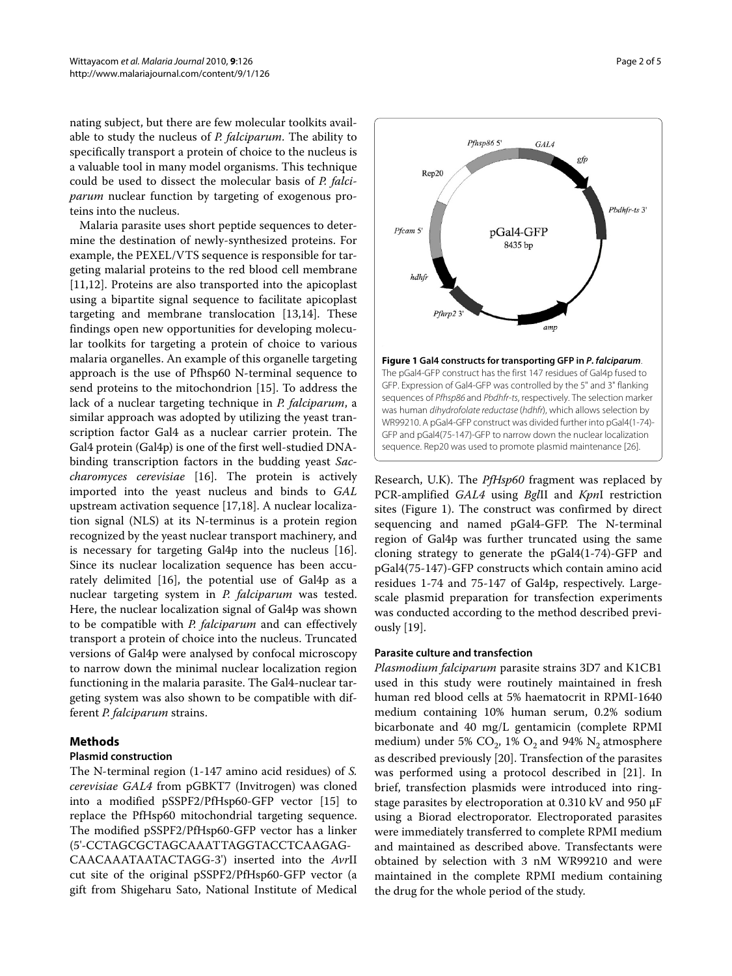nating subject, but there are few molecular toolkits available to study the nucleus of *P. falciparum*. The ability to specifically transport a protein of choice to the nucleus is a valuable tool in many model organisms. This technique could be used to dissect the molecular basis of *P. falciparum* nuclear function by targeting of exogenous proteins into the nucleus.

Malaria parasite uses short peptide sequences to determine the destination of newly-synthesized proteins. For example, the PEXEL/VTS sequence is responsible for targeting malarial proteins to the red blood cell membrane [[11,](#page-4-6)[12\]](#page-4-7). Proteins are also transported into the apicoplast using a bipartite signal sequence to facilitate apicoplast targeting and membrane translocation [[13,](#page-4-8)[14\]](#page-4-9). These findings open new opportunities for developing molecular toolkits for targeting a protein of choice to various malaria organelles. An example of this organelle targeting approach is the use of Pfhsp60 N-terminal sequence to send proteins to the mitochondrion [\[15](#page-4-10)]. To address the lack of a nuclear targeting technique in *P. falciparum*, a similar approach was adopted by utilizing the yeast transcription factor Gal4 as a nuclear carrier protein. The Gal4 protein (Gal4p) is one of the first well-studied DNAbinding transcription factors in the budding yeast *Saccharomyces cerevisiae* [\[16](#page-4-11)]. The protein is actively imported into the yeast nucleus and binds to *GAL* upstream activation sequence [[17,](#page-4-12)[18\]](#page-4-13). A nuclear localization signal (NLS) at its N-terminus is a protein region recognized by the yeast nuclear transport machinery, and is necessary for targeting Gal4p into the nucleus [\[16](#page-4-11)]. Since its nuclear localization sequence has been accurately delimited [\[16](#page-4-11)], the potential use of Gal4p as a nuclear targeting system in *P. falciparum* was tested. Here, the nuclear localization signal of Gal4p was shown to be compatible with *P. falciparum* and can effectively transport a protein of choice into the nucleus. Truncated versions of Gal4p were analysed by confocal microscopy to narrow down the minimal nuclear localization region functioning in the malaria parasite. The Gal4-nuclear targeting system was also shown to be compatible with different *P. falciparum* strains.

# **Methods**

# **Plasmid construction**

The N-terminal region (1-147 amino acid residues) of *S. cerevisiae GAL4* from pGBKT7 (Invitrogen) was cloned into a modified pSSPF2/PfHsp60-GFP vector [\[15](#page-4-10)] to replace the PfHsp60 mitochondrial targeting sequence. The modified pSSPF2/PfHsp60-GFP vector has a linker (5'-CCTAGCGCTAGCAAATTAGGTACCTCAAGAG-CAACAAATAATACTAGG-3') inserted into the *Avr*II cut site of the original pSSPF2/PfHsp60-GFP vector (a gift from Shigeharu Sato, National Institute of Medical

<span id="page-1-0"></span>

Research, U.K). The *PfHsp60* fragment was replaced by PCR-amplified *GAL4* using *Bgl*II and *Kpn*I restriction sites (Figure [1](#page-1-0)). The construct was confirmed by direct sequencing and named pGal4-GFP. The N-terminal region of Gal4p was further truncated using the same cloning strategy to generate the pGal4(1-74)-GFP and pGal4(75-147)-GFP constructs which contain amino acid residues 1-74 and 75-147 of Gal4p, respectively. Largescale plasmid preparation for transfection experiments was conducted according to the method described previously [[19](#page-4-14)].

# **Parasite culture and transfection**

*Plasmodium falciparum* parasite strains 3D7 and K1CB1 used in this study were routinely maintained in fresh human red blood cells at 5% haematocrit in RPMI-1640 medium containing 10% human serum, 0.2% sodium bicarbonate and 40 mg/L gentamicin (complete RPMI medium) under 5%  $CO_2$ , 1%  $O_2$  and 94%  $N_2$  atmosphere as described previously [\[20\]](#page-4-15). Transfection of the parasites was performed using a protocol described in [[21\]](#page-4-16). In brief, transfection plasmids were introduced into ringstage parasites by electroporation at 0.310 kV and 950 μF using a Biorad electroporator. Electroporated parasites were immediately transferred to complete RPMI medium and maintained as described above. Transfectants were obtained by selection with 3 nM WR99210 and were maintained in the complete RPMI medium containing the drug for the whole period of the study.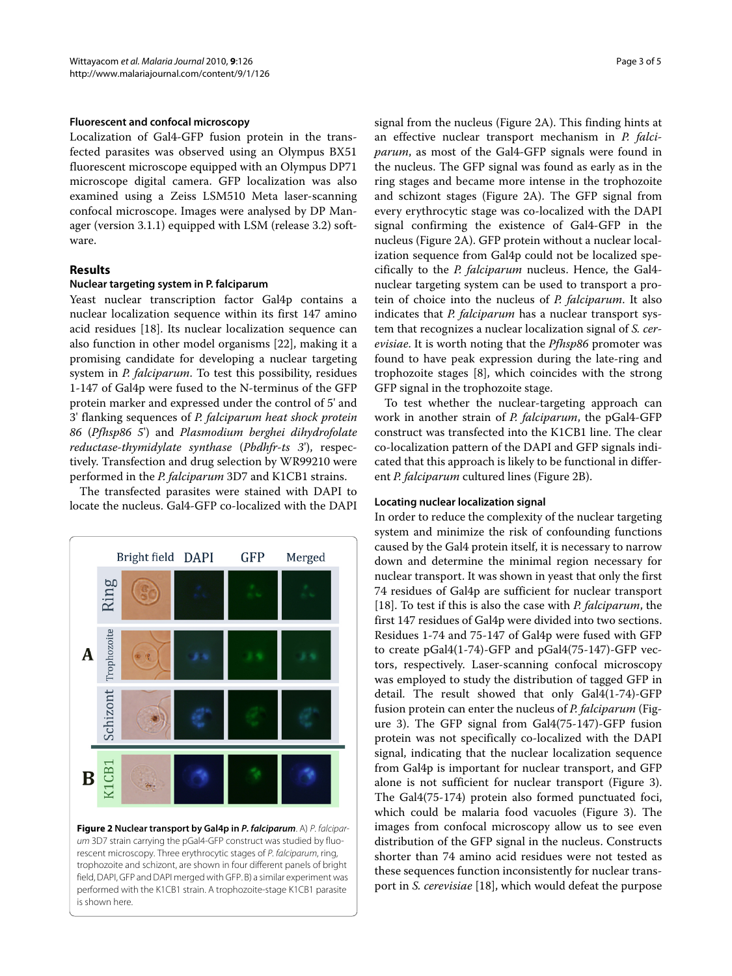#### **Fluorescent and confocal microscopy**

Localization of Gal4-GFP fusion protein in the transfected parasites was observed using an Olympus BX51 fluorescent microscope equipped with an Olympus DP71 microscope digital camera. GFP localization was also examined using a Zeiss LSM510 Meta laser-scanning confocal microscope. Images were analysed by DP Manager (version 3.1.1) equipped with LSM (release 3.2) software.

## **Results**

## **Nuclear targeting system in P. falciparum**

Yeast nuclear transcription factor Gal4p contains a nuclear localization sequence within its first 147 amino acid residues [\[18](#page-4-13)]. Its nuclear localization sequence can also function in other model organisms [[22\]](#page-4-18), making it a promising candidate for developing a nuclear targeting system in *P. falciparum*. To test this possibility, residues 1-147 of Gal4p were fused to the N-terminus of the GFP protein marker and expressed under the control of 5' and 3' flanking sequences of *P. falciparum heat shock protein 86* (*Pfhsp86 5*') and *Plasmodium berghei dihydrofolate reductase-thymidylate synthase* (*Pbdhfr-ts 3*'), respectively. Transfection and drug selection by WR99210 were performed in the *P. falciparum* 3D7 and K1CB1 strains.

The transfected parasites were stained with DAPI to locate the nucleus. Gal4-GFP co-localized with the DAPI

<span id="page-2-0"></span>

**Figure 2 Nuclear transport by Gal4p in P. falciparum**. A) P. falciparum 3D7 strain carrying the pGal4-GFP construct was studied by fluorescent microscopy. Three erythrocytic stages of P. falciparum, ring, trophozoite and schizont, are shown in four different panels of bright field, DAPI, GFP and DAPI merged with GFP. B) a similar experiment was performed with the K1CB1 strain. A trophozoite-stage K1CB1 parasite is shown here.

signal from the nucleus (Figure [2](#page-2-0)A). This finding hints at an effective nuclear transport mechanism in *P. falciparum*, as most of the Gal4-GFP signals were found in the nucleus. The GFP signal was found as early as in the ring stages and became more intense in the trophozoite and schizont stages (Figure [2A](#page-2-0)). The GFP signal from every erythrocytic stage was co-localized with the DAPI signal confirming the existence of Gal4-GFP in the nucleus (Figure [2A](#page-2-0)). GFP protein without a nuclear localization sequence from Gal4p could not be localized specifically to the *P. falciparum* nucleus. Hence, the Gal4 nuclear targeting system can be used to transport a protein of choice into the nucleus of *P. falciparum*. It also indicates that *P. falciparum* has a nuclear transport system that recognizes a nuclear localization signal of *S. cerevisiae*. It is worth noting that the *Pfhsp86* promoter was found to have peak expression during the late-ring and trophozoite stages [\[8](#page-4-3)], which coincides with the strong GFP signal in the trophozoite stage.

To test whether the nuclear-targeting approach can work in another strain of *P. falciparum*, the pGal4-GFP construct was transfected into the K1CB1 line. The clear co-localization pattern of the DAPI and GFP signals indicated that this approach is likely to be functional in different *P. falciparum* cultured lines (Figure [2B](#page-2-0)).

#### **Locating nuclear localization signal**

In order to reduce the complexity of the nuclear targeting system and minimize the risk of confounding functions caused by the Gal4 protein itself, it is necessary to narrow down and determine the minimal region necessary for nuclear transport. It was shown in yeast that only the first 74 residues of Gal4p are sufficient for nuclear transport [[18\]](#page-4-13). To test if this is also the case with *P. falciparum*, the first 147 residues of Gal4p were divided into two sections. Residues 1-74 and 75-147 of Gal4p were fused with GFP to create pGal4(1-74)-GFP and pGal4(75-147)-GFP vectors, respectively. Laser-scanning confocal microscopy was employed to study the distribution of tagged GFP in detail. The result showed that only Gal4(1-74)-GFP fusion protein can enter the nucleus of *P. falciparum* (Figure [3\)](#page-3-3). The GFP signal from Gal4(75-147)-GFP fusion protein was not specifically co-localized with the DAPI signal, indicating that the nuclear localization sequence from Gal4p is important for nuclear transport, and GFP alone is not sufficient for nuclear transport (Figure [3](#page-3-3)). The Gal4(75-174) protein also formed punctuated foci, which could be malaria food vacuoles (Figure [3](#page-3-3)). The images from confocal microscopy allow us to see even distribution of the GFP signal in the nucleus. Constructs shorter than 74 amino acid residues were not tested as these sequences function inconsistently for nuclear transport in *S. cerevisiae* [[18\]](#page-4-13), which would defeat the purpose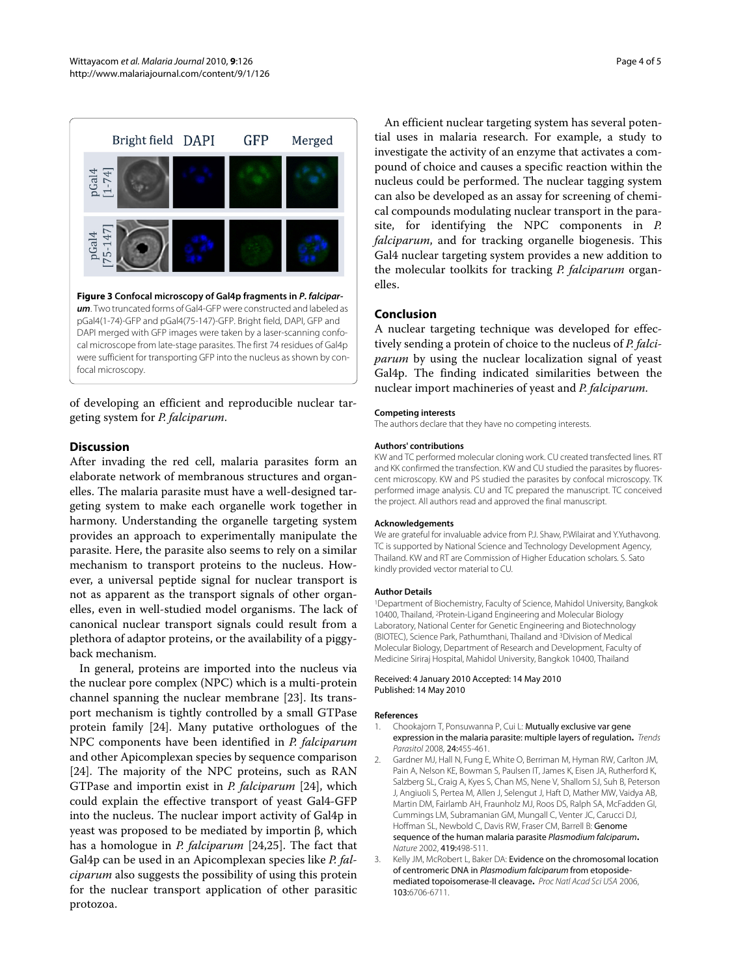<span id="page-3-3"></span>

of developing an efficient and reproducible nuclear targeting system for *P. falciparum*.

## **Discussion**

After invading the red cell, malaria parasites form an elaborate network of membranous structures and organelles. The malaria parasite must have a well-designed targeting system to make each organelle work together in harmony. Understanding the organelle targeting system provides an approach to experimentally manipulate the parasite. Here, the parasite also seems to rely on a similar mechanism to transport proteins to the nucleus. However, a universal peptide signal for nuclear transport is not as apparent as the transport signals of other organelles, even in well-studied model organisms. The lack of canonical nuclear transport signals could result from a plethora of adaptor proteins, or the availability of a piggyback mechanism.

In general, proteins are imported into the nucleus via the nuclear pore complex (NPC) which is a multi-protein channel spanning the nuclear membrane [[23\]](#page-4-19). Its transport mechanism is tightly controlled by a small GTPase protein family [[24](#page-4-20)]. Many putative orthologues of the NPC components have been identified in *P. falciparum* and other Apicomplexan species by sequence comparison [[24\]](#page-4-20). The majority of the NPC proteins, such as RAN GTPase and importin exist in *P. falciparum* [\[24\]](#page-4-20), which could explain the effective transport of yeast Gal4-GFP into the nucleus. The nuclear import activity of Gal4p in yeast was proposed to be mediated by importin β, which has a homologue in *P. falciparum* [\[24,](#page-4-20)[25\]](#page-4-21). The fact that Gal4p can be used in an Apicomplexan species like *P. falciparum* also suggests the possibility of using this protein for the nuclear transport application of other parasitic protozoa.

An efficient nuclear targeting system has several potential uses in malaria research. For example, a study to investigate the activity of an enzyme that activates a compound of choice and causes a specific reaction within the nucleus could be performed. The nuclear tagging system can also be developed as an assay for screening of chemical compounds modulating nuclear transport in the parasite, for identifying the NPC components in *P. falciparum*, and for tracking organelle biogenesis. This Gal4 nuclear targeting system provides a new addition to the molecular toolkits for tracking *P. falciparum* organelles.

## **Conclusion**

A nuclear targeting technique was developed for effectively sending a protein of choice to the nucleus of *P. falciparum* by using the nuclear localization signal of yeast Gal4p. The finding indicated similarities between the nuclear import machineries of yeast and *P. falciparum*.

#### **Competing interests**

The authors declare that they have no competing interests.

#### **Authors' contributions**

KW and TC performed molecular cloning work. CU created transfected lines. RT and KK confirmed the transfection. KW and CU studied the parasites by fluorescent microscopy. KW and PS studied the parasites by confocal microscopy. TK performed image analysis. CU and TC prepared the manuscript. TC conceived the project. All authors read and approved the final manuscript.

#### **Acknowledgements**

We are grateful for invaluable advice from P.J. Shaw, P.Wilairat and Y.Yuthavong. TC is supported by National Science and Technology Development Agency, Thailand. KW and RT are Commission of Higher Education scholars. S. Sato kindly provided vector material to CU.

#### **Author Details**

1Department of Biochemistry, Faculty of Science, Mahidol University, Bangkok 10400, Thailand, 2Protein-Ligand Engineering and Molecular Biology Laboratory, National Center for Genetic Engineering and Biotechnology (BIOTEC), Science Park, Pathumthani, Thailand and 3Division of Medical Molecular Biology, Department of Research and Development, Faculty of Medicine Siriraj Hospital, Mahidol University, Bangkok 10400, Thailand

#### Received: 4 January 2010 Accepted: 14 May 2010 Published: 14 May 2010

#### **References**

- <span id="page-3-0"></span>1. Chookajorn T, Ponsuwanna P, Cui L: Mutually exclusive var gene expression in the malaria parasite: multiple layers of regulation**.** Trends Parasitol 2008, 24:455-461.
- <span id="page-3-1"></span>2. Gardner MJ, Hall N, Fung E, White O, Berriman M, Hyman RW, Carlton JM, Pain A, Nelson KE, Bowman S, Paulsen IT, James K, Eisen JA, Rutherford K, Salzberg SL, Craig A, Kyes S, Chan MS, Nene V, Shallom SJ, Suh B, Peterson J, Angiuoli S, Pertea M, Allen J, Selengut J, Haft D, Mather MW, Vaidya AB, Martin DM, Fairlamb AH, Fraunholz MJ, Roos DS, Ralph SA, McFadden GI, Cummings LM, Subramanian GM, Mungall C, Venter JC, Carucci DJ, Hoffman SL, Newbold C, Davis RW, Fraser CM, Barrell B: Genome sequence of the human malaria parasite Plasmodium falciparum**.** Nature 2002, 419:498-511.
- <span id="page-3-2"></span>3. Kelly JM, McRobert L, Baker DA: Evidence on the chromosomal location of centromeric DNA in Plasmodium falciparum from etoposidemediated topoisomerase-II cleavage**.** Proc Natl Acad Sci USA 2006, 103:6706-6711.